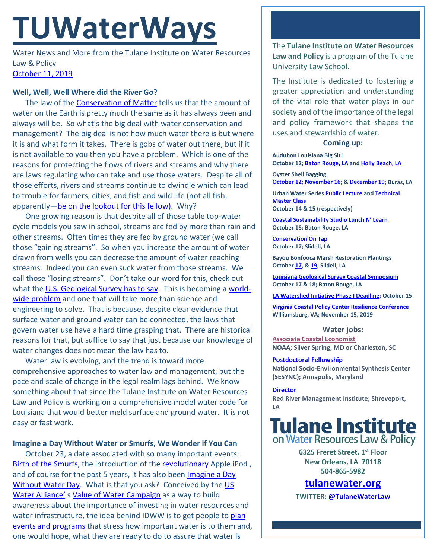# **TUWaterWays**

Water News and More from the Tulane Institute on Water Resources Law & Policy [October 11, 2019](https://thisdayinwaterhistory.wordpress.com/)

### **Well, Well, Well Where did the River Go?**

The law of the [Conservation of Matter](https://www.generationgenius.com/videolessons/conservation-of-matter-video-for-kids/) tells us that the amount of water on the Earth is pretty much the same as it has always been and always will be. So what's the big deal with water conservation and management? The big deal is not how much water there is but where it is and what form it takes. There is gobs of water out there, but if it is not available to you then you have a problem. Which is one of the reasons for protecting the flows of rivers and streams and why there are laws regulating who can take and use those waters. Despite all of those efforts, rivers and streams continue to dwindle which can lead to trouble for farmers, cities, and fish and wild life (not all fish, apparently[—be on the lookout for this fellow\)](https://www.foxnews.com/science/snakehead-fish-discovered-georgia). Why?

One growing reason is that despite all of those table top-water cycle models you saw in school, streams are fed by more than rain and other streams. Often times they are fed by ground water (we call those "gaining streams". So when you increase the amount of water drawn from wells you can decrease the amount of water reaching streams. Indeed you can even suck water from those streams. We call those "losing streams". Don't take our word for this, check out what the [U.S. Geological Survey has to say.](https://www.usgs.gov/special-topic/water-science-school/science/rivers-contain-groundwater?qt-science_center_objects=0#qt-science_center_objects) This is becoming a [world](https://www.nationalgeographic.com/science/2019/10/groundwater-pumping-killing-rivers-streams/?cmpid=org=ngp::mc=crm-email::src=ngp::cmp=editorial::add=Science_20191009&rid=D70887272757C3F2C77472032655B26F)[wide problem](https://www.nationalgeographic.com/science/2019/10/groundwater-pumping-killing-rivers-streams/?cmpid=org=ngp::mc=crm-email::src=ngp::cmp=editorial::add=Science_20191009&rid=D70887272757C3F2C77472032655B26F) and one that will take more than science and engineering to solve. That is because, despite clear evidence that surface water and ground water can be connected, the laws that govern water use have a hard time grasping that. There are historical reasons for that, but suffice to say that just because our knowledge of water changes does not mean the law has to.

Water law is evolving, and the trend is toward more comprehensive approaches to water law and management, but the pace and scale of change in the legal realm lags behind. We know something about that since the Tulane Institute on Water Resources Law and Policy is working on a comprehensive model water code for Louisiana that would better meld surface and ground water. It is not easy or fast work.

## **Imagine a Day Without Water or Smurfs, We Wonder if You Can**

October 23, a date associated with so many important events: [Birth of the Smurfs,](https://www.onthisday.com/photos/the-smurfs) the introduction of the [revolutionary](https://en.wikipedia.org/wiki/IPod) Apple iPod , and of course for the past 5 years, it has also been [Imagine a Day](http://imagineadaywithoutwater.org/)  [Without Water Day.](http://imagineadaywithoutwater.org/) What is that you ask? Conceived by the US [Water Alliance'](http://uswateralliance.org/)[s Value of Water Campaign](http://www.thevalueofwater.org/) as a way to build awareness about the importance of investing in water resources and water infrastructure, the idea behind IDWW is to get people to plan [events and programs](http://imagineadaywithoutwater.org/resources/waystoparticipate) that stress how important water is to them and, one would hope, what they are ready to do to assure that water is

The **Tulane Institute on Water Resources Law and Policy** is a program of the Tulane University Law School.

The Institute is dedicated to fostering a greater appreciation and understanding of the vital role that water plays in our society and of the importance of the legal and policy framework that shapes the uses and stewardship of water.

#### **Coming up:**

**Audubon Louisiana Big Sit! October 12[; Baton Rouge, LA](https://www.facebook.com/events/518261708951328/) and [Holly Beach, LA](https://www.facebook.com/events/913878112305464/)**

**Oyster Shell Bagging [October](https://www.eventbrite.com/e/oyster-shell-bagging-coastal-louisiana-reef-restoration-october-12th-2019-tickets-68492473833) 12[; November](https://www.eventbrite.com/e/oyster-shell-bagging-coastal-louisiana-reef-restoration-dow-and-public-november-16th-2019-tickets-70078612015) 16; & [December](https://www.eventbrite.com/e/oyster-shell-bagging-coastal-louisiana-reef-restoration-thursday-december-19-dartmouth-and-public-tickets-71566185387) 19; Buras, LA**

**Urban Water Serie[s Public Lecture](https://environmentalfund.kimbia.com/urbanwaterlectureoct2019) and [Technical](https://environmentalfund.kimbia.com/urbanwateroct2019)  [Master Class](https://environmentalfund.kimbia.com/urbanwateroct2019) October 14 & 15 (respectively)**

**[Coastal Sustainability Studio Lunch N' Learn](https://www.watershed.la.gov/calendar/event/950/) October 15; Baton Rouge, LA**

**[Conservation On Tap](https://www.facebook.com/events/417060285586067/) October 17; Slidell, LA**

**Bayou Bonfouca Marsh Restoration Plantings Octobe[r 17,](https://www.eventbrite.com/e/bayou-bonfouca-marsh-restoration-planting-event-on-october-17-2019-tickets-62294162517?aff=ebapi) [& 19;](https://www.eventbrite.com/e/bayou-bonfouca-marsh-restoration-planting-event-on-october-19-2019-tickets-62294227712) Slidell, LA**

**[Louisiana Geological Survey Coastal Symposium](https://www.lsu.edu/lgs/conferences/lgscs2019/registration.php) October 17 & 18; Baton Rouge, LA**

**[LA Watershed Initiative Phase I Deadline;](https://watershed.la.gov/apply) October 15**

**[Virginia Coastal Policy Center Resilience Conference](https://www.eventbrite.com/e/vcpcs-7th-annual-conference-the-three-ps-of-resilience-tickets-66101478301?utm_source=VCPC+News&utm_campaign=2d3123ca99-EMAIL_CAMPAIGN_2019_10_02_01_48&utm_medium=email&utm_term=0_c3ee49aa51-2d3123ca99-434797337) Williamsburg, VA; November 15, 2019**

#### **Water jobs:**

**[Associate Coastal Economist](https://jobs-css.icims.com/jobs/2068/associate-coastal-economist/job?mobile=false&width=850&height=500&bga=true&needsRedirect=false&jan1offset=-300&jun1offset=-240) NOAA; Silver Spring, MD or Charleston, SC** 

**[Postdoctoral Fellowship](https://www.sesync.org/opportunities/research-fellowships-postdoctoral-fellowships/socio-environmental-immersion-1)**

**National Socio-Environmental Synthesis Center (SESYNC); Annapolis, Maryland**

**[Director](https://www.higheredjobs.com/search/details.cfm?JobCode=177110051&Title=Director%20Red%20River%20Watershed%20Management%20Institute%20%28RRWMI%29) Red River Management Institute; Shreveport, LA**

# **Tulane Institute** on Water Resources Law & Policy

**6325 Freret Street, 1st Floor New Orleans, LA 70118 504-865-5982** 

**tulanewater.org**

**TWITTER[: @TulaneWaterLaw](http://www.twitter.com/TulaneWaterLaw)**